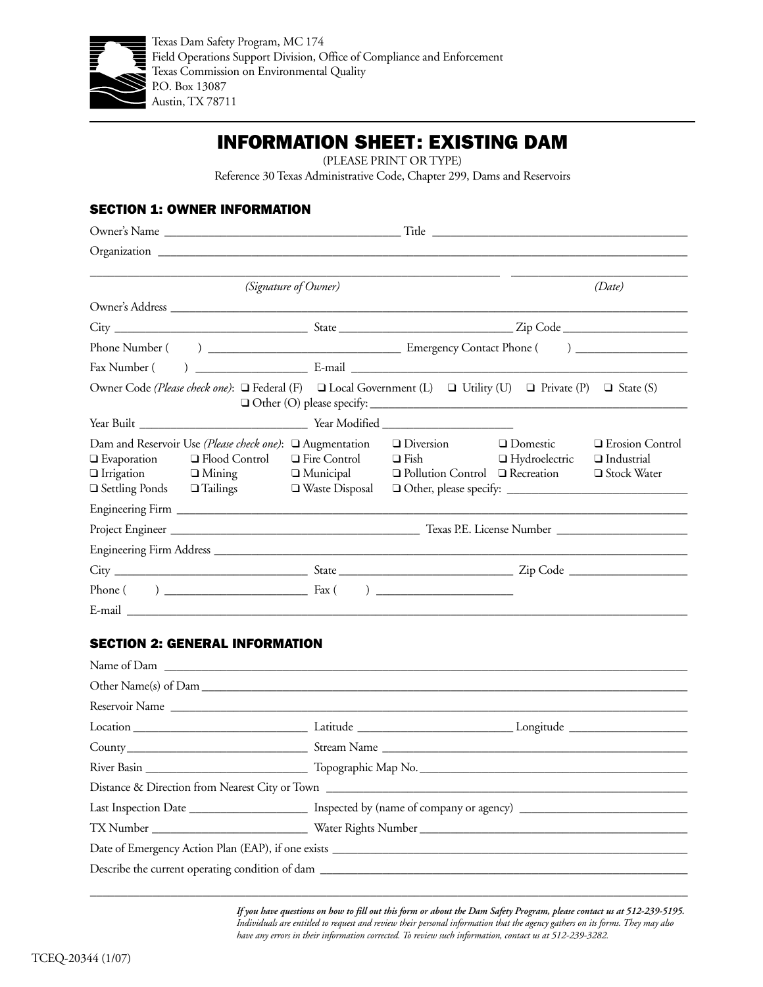

## INFORMATION SHEET: EXISTING DAM

(PLEASE PRINT OR TYPE)

Reference 30 Texas Administrative Code, Chapter 299, Dams and Reservoirs

## SECTION 1: OWNER INFORMATION

|                                                                                                                                      | (Date)                                                   |                  |                                                                                                                    |                                    |                                                         |  |  |  |  |  |
|--------------------------------------------------------------------------------------------------------------------------------------|----------------------------------------------------------|------------------|--------------------------------------------------------------------------------------------------------------------|------------------------------------|---------------------------------------------------------|--|--|--|--|--|
|                                                                                                                                      |                                                          |                  |                                                                                                                    |                                    |                                                         |  |  |  |  |  |
|                                                                                                                                      |                                                          |                  |                                                                                                                    |                                    |                                                         |  |  |  |  |  |
|                                                                                                                                      |                                                          |                  |                                                                                                                    |                                    |                                                         |  |  |  |  |  |
|                                                                                                                                      |                                                          |                  |                                                                                                                    |                                    |                                                         |  |  |  |  |  |
| Owner Code (Please check one): $\Box$ Federal (F) $\Box$ Local Government (L) $\Box$ Utility (U) $\Box$ Private (P) $\Box$ State (S) |                                                          |                  |                                                                                                                    |                                    |                                                         |  |  |  |  |  |
|                                                                                                                                      |                                                          |                  |                                                                                                                    |                                    |                                                         |  |  |  |  |  |
| $\Box$ Evaporation $\Box$ Flood Control<br>$\Box$ Irrigation $\Box$ Mining<br>$\Box$ Settling Ponds $\Box$ Tailings                  | Dam and Reservoir Use (Please check one): □ Augmentation | □ Waste Disposal | $\Box$ Diversion<br>$\Box$ Fire Control $\Box$ Fish<br>$\Box$ Municipal $\Box$ Pollution Control $\Box$ Recreation | □ Domestic<br>$\Box$ Hydroelectric | □ Erosion Control<br>$\Box$ Industrial<br>□ Stock Water |  |  |  |  |  |
|                                                                                                                                      |                                                          |                  |                                                                                                                    |                                    |                                                         |  |  |  |  |  |
|                                                                                                                                      |                                                          |                  |                                                                                                                    |                                    |                                                         |  |  |  |  |  |
|                                                                                                                                      |                                                          |                  |                                                                                                                    |                                    |                                                         |  |  |  |  |  |
|                                                                                                                                      |                                                          |                  |                                                                                                                    |                                    |                                                         |  |  |  |  |  |
|                                                                                                                                      |                                                          |                  |                                                                                                                    |                                    |                                                         |  |  |  |  |  |
|                                                                                                                                      |                                                          |                  |                                                                                                                    |                                    |                                                         |  |  |  |  |  |

## SECTION 2: GENERAL INFORMATION

| Name of Dam The Communication of Dam Theorem 2014                                                              |  |  |  |  |  |  |  |
|----------------------------------------------------------------------------------------------------------------|--|--|--|--|--|--|--|
| Other Name(s) of Dam                                                                                           |  |  |  |  |  |  |  |
|                                                                                                                |  |  |  |  |  |  |  |
|                                                                                                                |  |  |  |  |  |  |  |
|                                                                                                                |  |  |  |  |  |  |  |
|                                                                                                                |  |  |  |  |  |  |  |
|                                                                                                                |  |  |  |  |  |  |  |
| Last Inspection Date _________________________ Inspected by (name of company or agency) ______________________ |  |  |  |  |  |  |  |
|                                                                                                                |  |  |  |  |  |  |  |
|                                                                                                                |  |  |  |  |  |  |  |
|                                                                                                                |  |  |  |  |  |  |  |
|                                                                                                                |  |  |  |  |  |  |  |

\_\_\_\_\_\_\_\_\_\_\_\_\_\_\_\_\_\_\_\_\_\_\_\_\_\_\_\_\_\_\_\_\_\_\_\_\_\_\_\_\_\_\_\_\_\_\_\_\_\_\_\_\_\_\_\_\_\_\_\_\_\_\_\_\_\_\_\_\_\_\_\_\_\_\_\_\_\_\_\_\_\_\_\_\_\_\_\_\_\_\_\_\_\_\_\_

*If you have questions on how to fill out this form or about the Dam Safety Program, please contact us at 512-239-5195. Individuals are entitled to request and review their personal information that the agency gathers on its forms. They may also have any errors in their information corrected. To review such information, contact us at 512-239-3282.*